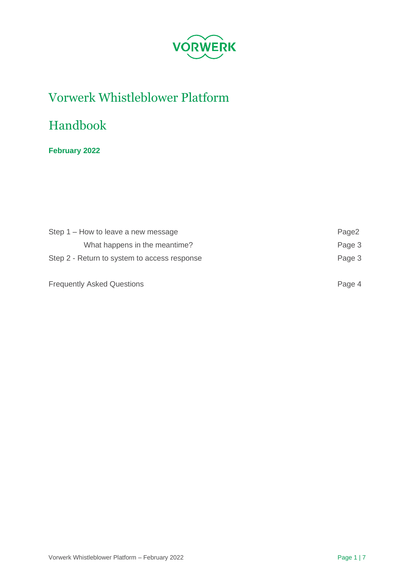

# Vorwerk Whistleblower Platform

# Handbook

# **February 2022**

| Step 1 – How to leave a new message          | Page2  |
|----------------------------------------------|--------|
| What happens in the meantime?                | Page 3 |
| Step 2 - Return to system to access response | Page 3 |
| <b>Frequently Asked Questions</b>            | Page 4 |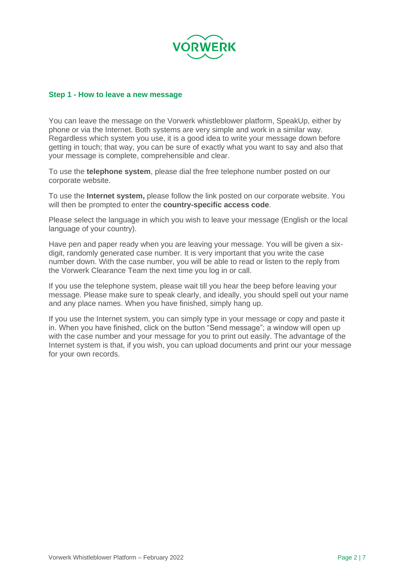

#### **Step 1 - How to leave a new message**

You can leave the message on the Vorwerk whistleblower platform, SpeakUp, either by phone or via the Internet. Both systems are very simple and work in a similar way. Regardless which system you use, it is a good idea to write your message down before getting in touch; that way, you can be sure of exactly what you want to say and also that your message is complete, comprehensible and clear.

To use the **telephone system**, please dial the free telephone number posted on our corporate website.

To use the **Internet system,** please follow the link posted on our corporate website. You will then be prompted to enter the **country-specific access code**.

Please select the language in which you wish to leave your message (English or the local language of your country).

Have pen and paper ready when you are leaving your message. You will be given a sixdigit, randomly generated case number. It is very important that you write the case number down. With the case number, you will be able to read or listen to the reply from the Vorwerk Clearance Team the next time you log in or call.

If you use the telephone system, please wait till you hear the beep before leaving your message. Please make sure to speak clearly, and ideally, you should spell out your name and any place names. When you have finished, simply hang up.

If you use the Internet system, you can simply type in your message or copy and paste it in. When you have finished, click on the button "Send message"; a window will open up with the case number and your message for you to print out easily. The advantage of the Internet system is that, if you wish, you can upload documents and print our your message for your own records.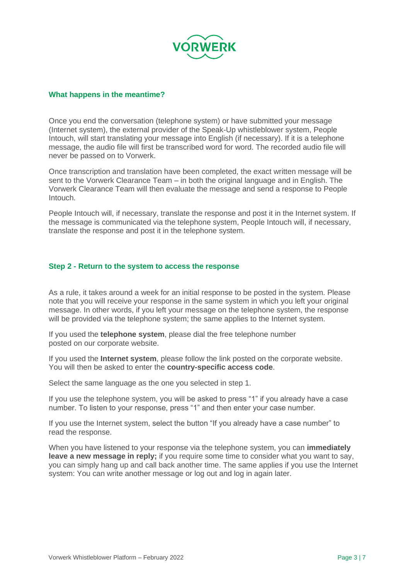

#### **What happens in the meantime?**

Once you end the conversation (telephone system) or have submitted your message (Internet system), the external provider of the Speak-Up whistleblower system, People Intouch, will start translating your message into English (if necessary). If it is a telephone message, the audio file will first be transcribed word for word. The recorded audio file will never be passed on to Vorwerk.

Once transcription and translation have been completed, the exact written message will be sent to the Vorwerk Clearance Team – in both the original language and in English. The Vorwerk Clearance Team will then evaluate the message and send a response to People Intouch.

People Intouch will, if necessary, translate the response and post it in the Internet system. If the message is communicated via the telephone system, People Intouch will, if necessary, translate the response and post it in the telephone system.

#### **Step 2 - Return to the system to access the response**

As a rule, it takes around a week for an initial response to be posted in the system. Please note that you will receive your response in the same system in which you left your original message. In other words, if you left your message on the telephone system, the response will be provided via the telephone system; the same applies to the Internet system.

If you used the **telephone system**, please dial the free telephone number posted on our corporate website.

If you used the **Internet system**, please follow the link posted on the corporate website. You will then be asked to enter the **country-specific access code**.

Select the same language as the one you selected in step 1.

If you use the telephone system, you will be asked to press "1" if you already have a case number. To listen to your response, press "1" and then enter your case number.

If you use the Internet system, select the button "If you already have a case number" to read the response.

When you have listened to your response via the telephone system, you can **immediately leave a new message in reply;** if you require some time to consider what you want to say, you can simply hang up and call back another time. The same applies if you use the Internet system: You can write another message or log out and log in again later.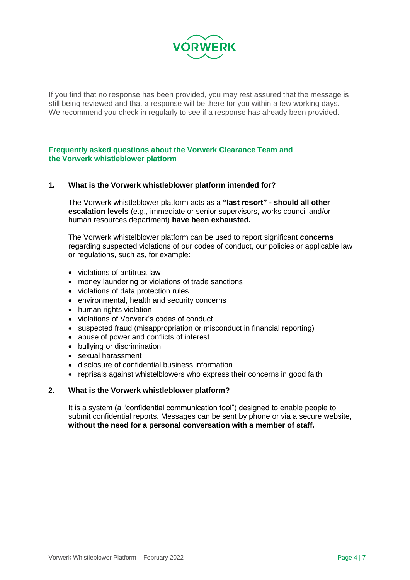

If you find that no response has been provided, you may rest assured that the message is still being reviewed and that a response will be there for you within a few working days. We recommend you check in regularly to see if a response has already been provided.

# **Frequently asked questions about the Vorwerk Clearance Team and the Vorwerk whistleblower platform**

# **1. What is the Vorwerk whistleblower platform intended for?**

The Vorwerk whistleblower platform acts as a **"last resort" - should all other escalation levels** (e.g., immediate or senior supervisors, works council and/or human resources department) **have been exhausted.**

The Vorwerk whistelblower platform can be used to report significant **concerns**  regarding suspected violations of our codes of conduct, our policies or applicable law or regulations, such as, for example:

- violations of antitrust law
- money laundering or violations of trade sanctions
- violations of data protection rules
- environmental, health and security concerns
- human rights violation
- violations of Vorwerk's codes of conduct
- suspected fraud (misappropriation or misconduct in financial reporting)
- abuse of power and conflicts of interest
- bullying or discrimination
- sexual harassment
- disclosure of confidential business information
- reprisals against whistelblowers who express their concerns in good faith

#### **2. What is the Vorwerk whistleblower platform?**

It is a system (a "confidential communication tool") designed to enable people to submit confidential reports. Messages can be sent by phone or via a secure website, **without the need for a personal conversation with a member of staff.**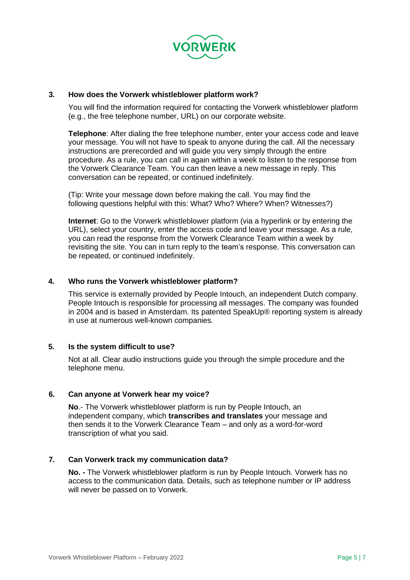

# **3. How does the Vorwerk whistleblower platform work?**

You will find the information required for contacting the Vorwerk whistleblower platform (e.g., the free telephone number, URL) on our corporate website.

**Telephone**: After dialing the free telephone number, enter your access code and leave your message. You will not have to speak to anyone during the call. All the necessary instructions are prerecorded and will guide you very simply through the entire procedure. As a rule, you can call in again within a week to listen to the response from the Vorwerk Clearance Team. You can then leave a new message in reply. This conversation can be repeated, or continued indefinitely.

(Tip: Write your message down before making the call. You may find the following questions helpful with this: What? Who? Where? When? Witnesses?)

**Internet**: Go to the Vorwerk whistleblower platform (via a hyperlink or by entering the URL), select your country, enter the access code and leave your message. As a rule, you can read the response from the Vorwerk Clearance Team within a week by revisiting the site. You can in turn reply to the team's response. This conversation can be repeated, or continued indefinitely.

#### **4. Who runs the Vorwerk whistleblower platform?**

This service is externally provided by People Intouch, an independent Dutch company. People Intouch is responsible for processing all messages. The company was founded in 2004 and is based in Amsterdam. Its patented SpeakUp® reporting system is already in use at numerous well-known companies.

#### **5. Is the system difficult to use?**

Not at all. Clear audio instructions guide you through the simple procedure and the telephone menu.

#### **6. Can anyone at Vorwerk hear my voice?**

**No**.- The Vorwerk whistleblower platform is run by People Intouch, an independent company, which **transcribes and translates** your message and then sends it to the Vorwerk Clearance Team – and only as a word-for-word transcription of what you said.

#### **7. Can Vorwerk track my communication data?**

**No. -** The Vorwerk whistleblower platform is run by People Intouch. Vorwerk has no access to the communication data. Details, such as telephone number or IP address will never be passed on to Vorwerk.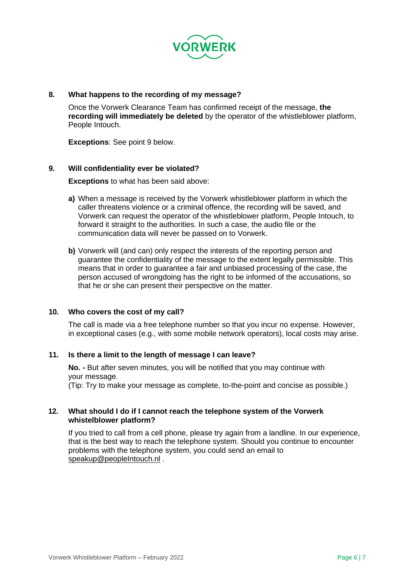

# **8. What happens to the recording of my message?**

Once the Vorwerk Clearance Team has confirmed receipt of the message, **the recording will immediately be deleted** by the operator of the whistleblower platform, People Intouch.

**Exceptions**: See point 9 below.

#### **9. Will confidentiality ever be violated?**

**Exceptions** to what has been said above:

- **a)** When a message is received by the Vorwerk whistleblower platform in which the caller threatens violence or a criminal offence, the recording will be saved, and Vorwerk can request the operator of the whistleblower platform, People Intouch, to forward it straight to the authorities. In such a case, the audio file or the communication data will never be passed on to Vorwerk.
- **b)** Vorwerk will (and can) only respect the interests of the reporting person and guarantee the confidentiality of the message to the extent legally permissible. This means that in order to guarantee a fair and unbiased processing of the case, the person accused of wrongdoing has the right to be informed of the accusations, so that he or she can present their perspective on the matter.

#### **10. Who covers the cost of my call?**

The call is made via a free telephone number so that you incur no expense. However, in exceptional cases (e.g., with some mobile network operators), local costs may arise.

#### **11. Is there a limit to the length of message I can leave?**

**No. -** But after seven minutes, you will be notified that you may continue with your message.

(Tip: Try to make your message as complete, to-the-point and concise as possible.)

# **12. What should I do if I cannot reach the telephone system of the Vorwerk whistelblower platform?**

If you tried to call from a cell phone, please try again from a landline. In our experience, that is the best way to reach the telephone system. Should you continue to encounter problems with the telephone system, you could send an email to [speakup@peopleIntouch.nl](mailto:speakup@peopleIntouch.nl) .